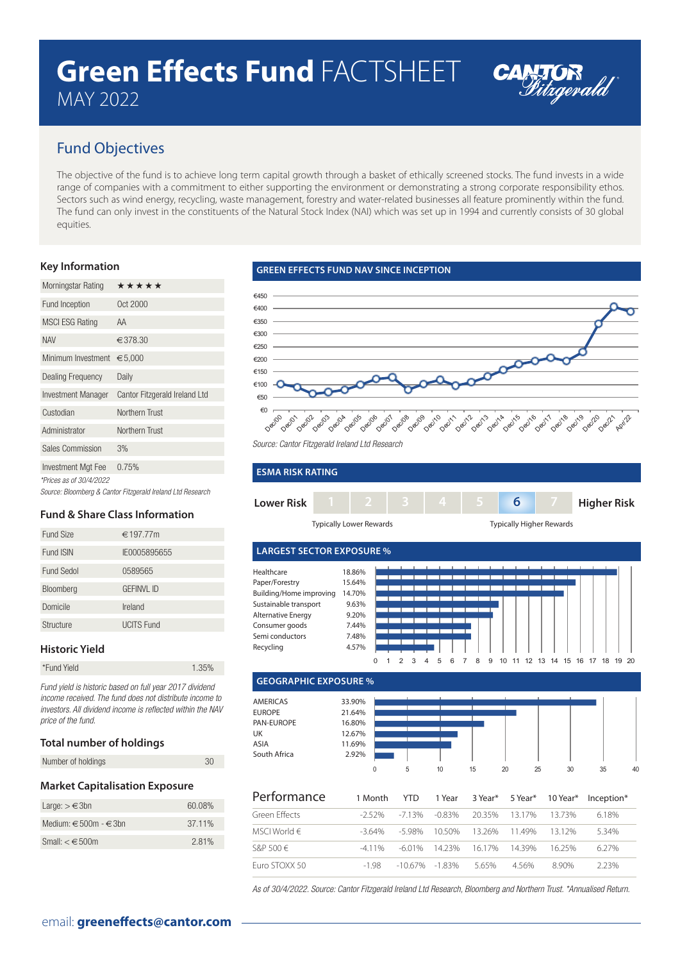# **Green Effects Fund** FACTSHEET MAY 2022



# Fund Objectives

The objective of the fund is to achieve long term capital growth through a basket of ethically screened stocks. The fund invests in a wide range of companies with a commitment to either supporting the environment or demonstrating a strong corporate responsibility ethos. Sectors such as wind energy, recycling, waste management, forestry and water-related businesses all feature prominently within the fund. The fund can only invest in the constituents of the Natural Stock Index (NAI) which was set up in 1994 and currently consists of 30 global equities.

## **Key Information**

| Morningstar Rating       | *****                                                      |
|--------------------------|------------------------------------------------------------|
| Fund Inception           | Oct 2000                                                   |
| <b>MSCI ESG Rating</b>   | AA                                                         |
| <b>NAV</b>               | €378.30                                                    |
| Minimum Investment       | € $5,000$                                                  |
| <b>Dealing Frequency</b> | Daily                                                      |
| Investment Manager       | Cantor Fitzgerald Ireland Ltd                              |
| Custodian                | Northern Trust                                             |
| Administrator            | Northern Trust                                             |
| <b>Sales Commission</b>  | 3%                                                         |
| Investment Mgt Fee       | 0.75%                                                      |
| *Prices as of 30/4/2022  |                                                            |
|                          | Source: Bloomberg & Cantor Fitzgerald Ireland Ltd Research |

## **Fund & Share Class Information**

| Fund Size        | €197.77m          |
|------------------|-------------------|
| <b>Fund ISIN</b> | IE0005895655      |
| Fund Sedol       | 0589565           |
| Bloomberg        | <b>GEFINVL ID</b> |
| Domicile         | Ireland           |
| Structure        | <b>UCITS Fund</b> |

## **Historic Yield**

| *Fund Yield | 1.35% |
|-------------|-------|
|             |       |

Fund yield is historic based on full year 2017 dividend income received. The fund does not distribute income to investors. All dividend income is reflected within the NAV price of the fund.

#### **Total number of holdings**

| Number of holdings | 30 |
|--------------------|----|
|                    |    |

#### **Market Capitalisation Exposure**

| Large: $> \in 3$ bn            | 60.08% |
|--------------------------------|--------|
| Medium: $\in$ 500m - $\in$ 3bn | 37.11% |
| Small: $< \epsilon$ 500m       | 2.81%  |

## **GREEN EFFECTS FUND NAV SINCE INCEPTION**





| <b>ESMA RISK RATING</b> |   |        |  |  |  |   |  |                    |
|-------------------------|---|--------|--|--|--|---|--|--------------------|
| <b>Lower Risk</b>       |   |        |  |  |  | 6 |  | <b>Higher Risk</b> |
|                         | . | $\sim$ |  |  |  | . |  |                    |

Typically Lower Rewards Typically Higher Rewards



 **GEOGRAPHIC EXPOSURE %**



| Performance      | 1 Month | YTD              |                      |         |       | 1 Year 3 Year* 5 Year* 10 Year* Inception* |
|------------------|---------|------------------|----------------------|---------|-------|--------------------------------------------|
| Green Effects    | -252%   | -713% -083%      | 20.35% 13.17%        |         | 1373% | 6.18%                                      |
| MSCI World $\in$ | -3.64%  |                  | -5.98% 10.50% 13.26% | 1149%   | 1312% | 5.34%                                      |
| S&P 500 $\in$    | $-411%$ |                  | -601% 1423% 1617%    | 14 3 9% | 1625% | 6.27%                                      |
| Euro STOXX 50    | $-198$  | $-1067\% -183\%$ | 565%                 | 456%    | 890%  | 223%                                       |

As of 30/4/2022. Source: Cantor Fitzgerald Ireland Ltd Research, Bloomberg and Northern Trust. \*Annualised Return.